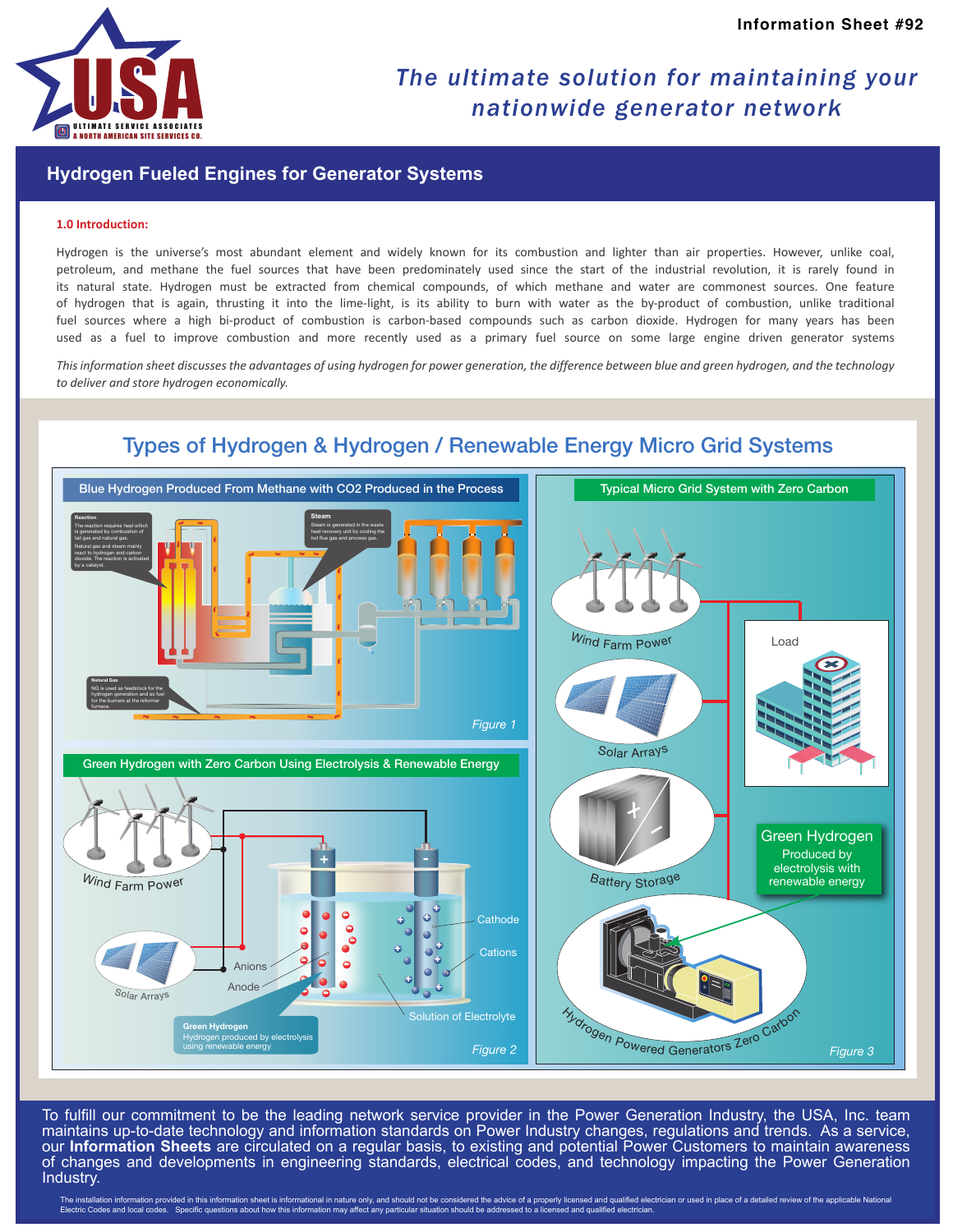

## *The ultimate solution for maintaining your nationwide generator network*

### **Hydrogen Fueled Engines for Generator Systems**

#### **1.0 Introduction:**

Hydrogen is the universe's most abundant element and widely known for its combustion and lighter than air properties. However, unlike coal, petroleum, and methane the fuel sources that have been predominately used since the start of the industrial revolution, it is rarely found in its natural state. Hydrogen must be extracted from chemical compounds, of which methane and water are commonest sources. One feature of hydrogen that is again, thrusting it into the lime-light, is its ability to burn with water as the by-product of combustion, unlike traditional fuel sources where a high bi-product of combustion is carbon-based compounds such as carbon dioxide. Hydrogen for many years has been used as a fuel to improve combustion and more recently used as a primary fuel source on some large engine driven generator systems

*This information sheet discusses the advantages of using hydrogen for power generation, the difference between blue and green hydrogen, and the technology to deliver and store hydrogen economically.*



Types of Hydrogen & Hydrogen / Renewable Energy Micro Grid Systems

To fulfill our commitment to be the leading network service provider in the Power Generation Industry, the USA, Inc. team maintains up-to-date technology and information standards on Power Industry changes, regulations and trends. As a service, our **Information Sheets** are circulated on a regular basis, to existing and potential Power Customers to maintain awareness of changes and developments in engineering standards, electrical codes, and technology impacting the Power Generation Industry.